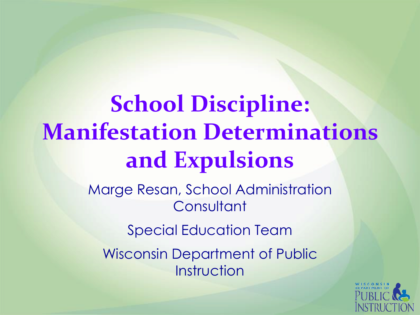# **School Discipline: Manifestation Determinations and Expulsions**

Marge Resan, School Administration **Consultant** 

Special Education Team

Wisconsin Department of Public Instruction

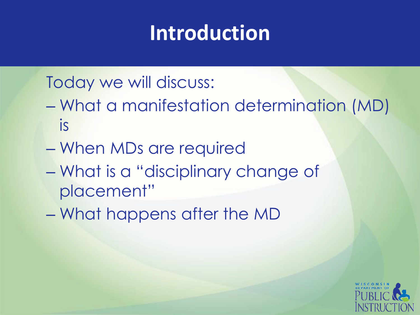### **Introduction**

Today we will discuss:

- What a manifestation determination (MD) is
- When MDs are required
- What is a "disciplinary change of placement"
- What happens after the MD

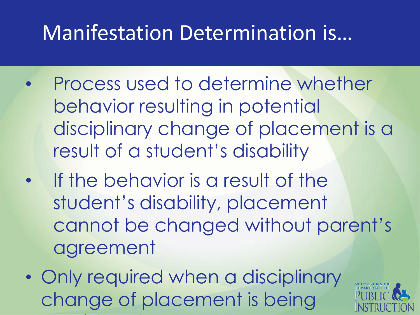#### Manifestation Determination is…

- Process used to determine whether behavior resulting in potential disciplinary change of placement is a result of a student's disability
- If the behavior is a result of the student's disability, placement cannot be changed without parent's agreement
- Only required when a disciplinary change of placement is being consideration of the constant of the constant of the constant of the constant of the constant of the constant of

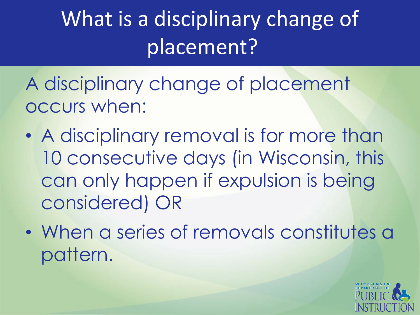What is a disciplinary change of placement?

A disciplinary change of placement occurs when:

- A disciplinary removal is for more than 10 consecutive days (in Wisconsin, this can only happen if expulsion is being considered) OR
- When a series of removals constitutes a pattern.

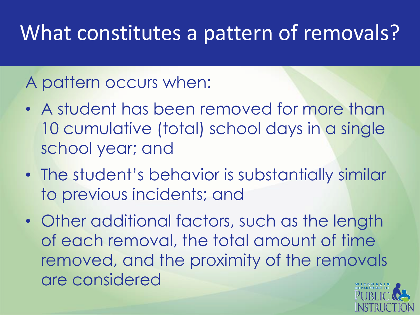### What constitutes a pattern of removals?

#### A pattern occurs when:

- A student has been removed for more than 10 cumulative (total) school days in a single school year; and
- The student's behavior is substantially similar to previous incidents; and
- Other additional factors, such as the length of each removal, the total amount of time removed, and the proximity of the removals are considered

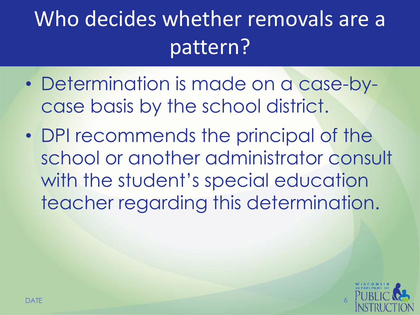# Who decides whether removals are a pattern?

- Determination is made on a case-bycase basis by the school district.
- DPI recommends the principal of the school or another administrator consult with the student's special education teacher regarding this determination.

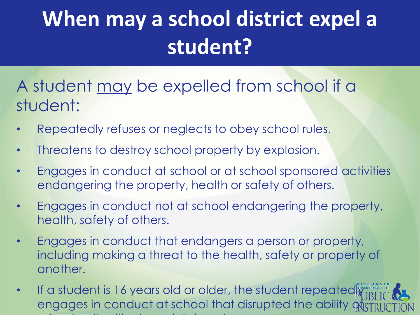# **When may a school district expel a student?**

A student may be expelled from school if a student:

- Repeatedly refuses or neglects to obey school rules.
- Threatens to destroy school property by explosion.
- Engages in conduct at school or at school sponsored activities endangering the property, health or safety of others.
- Engages in conduct not at school endangering the property, health, safety of others.
- Engages in conduct that endangers a person or property, including making a threat to the health, safety or property of another.
- If a student is 16 years old or older, the student repeatedly engages in conduct at school that disrupted the ability offst school authorities to maintain order.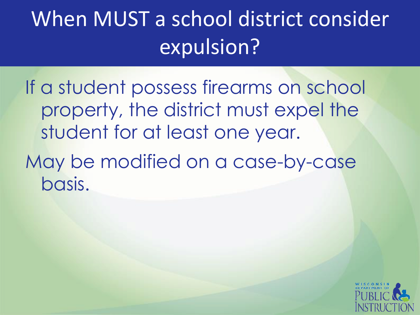## When MUST a school district consider expulsion?

If a student possess firearms on school property, the district must expel the student for at least one year.

May be modified on a case-by-case basis.

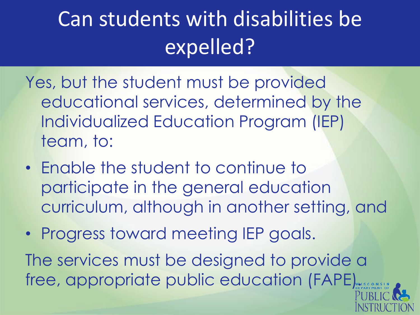## Can students with disabilities be expelled?

- Yes, but the student must be provided educational services, determined by the Individualized Education Program (IEP) team, to:
- Enable the student to continue to participate in the general education curriculum, although in another setting, and
- Progress toward meeting IEP goals.

The services must be designed to provide a free, appropriate public education (FAPE)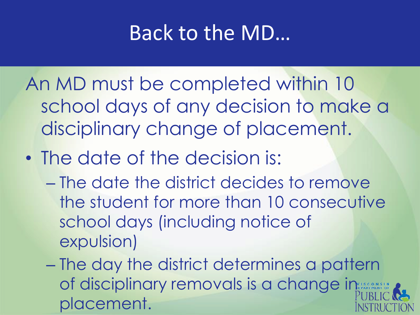#### Back to the MD…

An MD must be completed within 10 school days of any decision to make a disciplinary change of placement.

- The date of the decision is:
	- The date the district decides to remove the student for more than 10 consecutive school days (including notice of expulsion)

– The day the district determines a pattern of disciplinary removals is a change in placement.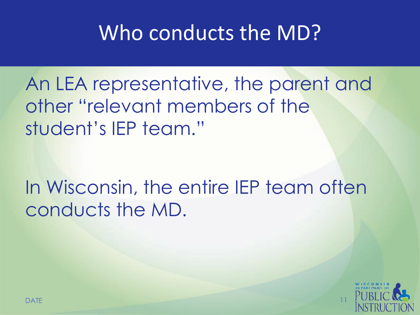#### Who conducts the MD?

An LEA representative, the parent and other "relevant members of the student's IEP team."

In Wisconsin, the entire IEP team often conducts the MD.

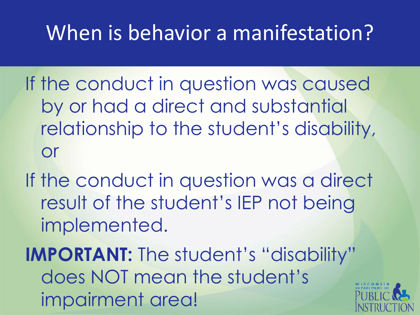### When is behavior a manifestation?

If the conduct in question was caused by or had a direct and substantial relationship to the student's disability, or

If the conduct in question was a direct result of the student's IEP not being implemented.

**IMPORTANT:** The student's "disability" does NOT mean the student's impairment area!

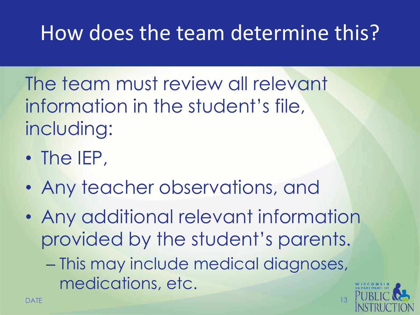### How does the team determine this?

The team must review all relevant information in the student's file, including:

- The IEP,
- Any teacher observations, and
- Any additional relevant information provided by the student's parents.

– This may include medical diagnoses, medications, etc.

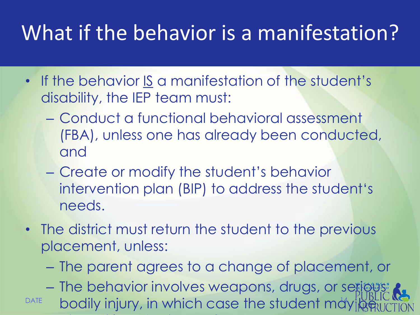### What if the behavior is a manifestation?

- If the behavior IS a manifestation of the student's disability, the IEP team must:
	- Conduct a functional behavioral assessment (FBA), unless one has already been conducted, and
	- Create or modify the student's behavior intervention plan (BIP) to address the student's needs.
- The district must return the student to the previous placement, unless:
	- The parent agrees to a change of placement, or

**– The behavior involves weapons, drugs, or serious:** 

 $PATE$  bodily injury, in which case the student may  $\frac{1}{2}$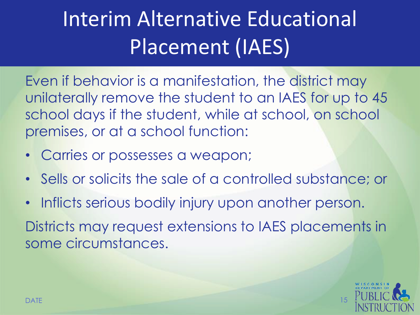# Interim Alternative Educational Placement (IAES)

Even if behavior is a manifestation, the district may unilaterally remove the student to an IAES for up to 45 school days if the student, while at school, on school premises, or at a school function:

- Carries or possesses a weapon;
- Sells or solicits the sale of a controlled substance; or
- Inflicts serious bodily injury upon another person.

Districts may request extensions to IAES placements in some circumstances.

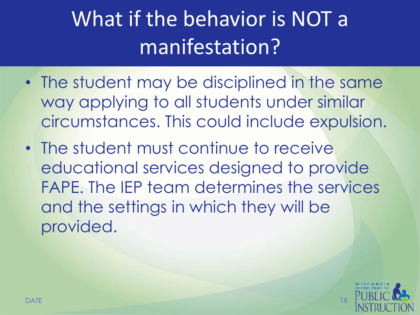## What if the behavior is NOT a manifestation?

- The student may be disciplined in the same way applying to all students under similar circumstances. This could include expulsion.
- The student must continue to receive educational services designed to provide FAPE. The IEP team determines the services and the settings in which they will be provided.

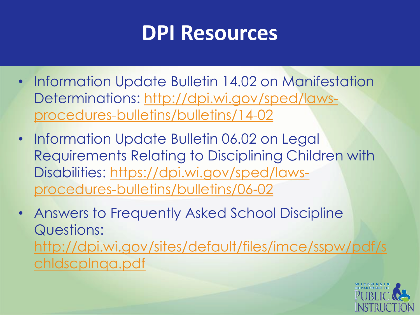#### **DPI Resources**

- Information Update Bulletin 14.02 on Manifestation [Determinations: http://dpi.wi.gov/sped/laws](http://dpi.wi.gov/sped/laws-procedures-bulletins/bulletins/14-02)procedures-bulletins/bulletins/14-02
- Information Update Bulletin 06.02 on Legal Requirements Relating to Disciplining Children with [Disabilities: https://dpi.wi.gov/sped/laws](https://dpi.wi.gov/sped/laws-procedures-bulletins/bulletins/06-02)procedures-bulletins/bulletins/06-02
- Answers to Frequently Asked School Discipline Questions: [http://dpi.wi.gov/sites/default/files/imce/sspw/pdf/s](http://dpi.wi.gov/sites/default/files/imce/sspw/pdf/schldscplnqa.pdf) chldscplnqa.pdf

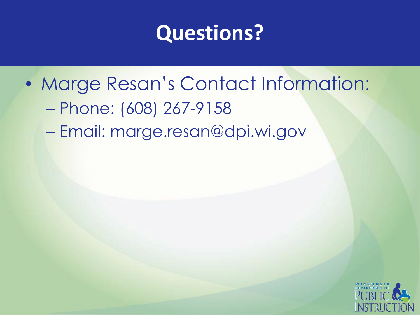#### **Questions?**

• Marge Resan's Contact Information: – Phone: (608) 267-9158 – Email: marge.resan@dpi.wi.gov